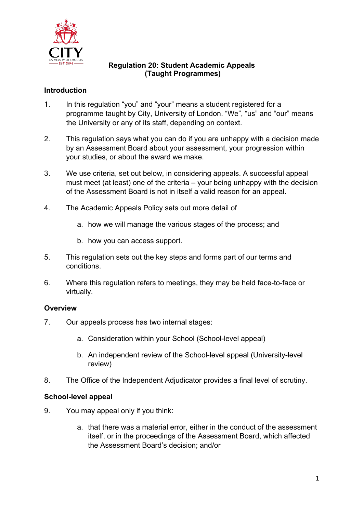

### **Regulation 20: Student Academic Appeals (Taught Programmes)**

# **Introduction**

- 1. In this regulation "you" and "your" means a student registered for a programme taught by City, University of London. "We", "us" and "our" means the University or any of its staff, depending on context.
- 2. This regulation says what you can do if you are unhappy with a decision made by an Assessment Board about your assessment, your progression within your studies, or about the award we make.
- 3. We use criteria, set out below, in considering appeals. A successful appeal must meet (at least) one of the criteria – your being unhappy with the decision of the Assessment Board is not in itself a valid reason for an appeal.
- 4. The Academic Appeals Policy sets out more detail of
	- a. how we will manage the various stages of the process; and
	- b. how you can access support.
- 5. This regulation sets out the key steps and forms part of our terms and conditions.
- 6. Where this regulation refers to meetings, they may be held face-to-face or virtually.

## **Overview**

- 7. Our appeals process has two internal stages:
	- a. Consideration within your School (School-level appeal)
	- b. An independent review of the School-level appeal (University-level review)
- 8. The Office of the Independent Adjudicator provides a final level of scrutiny.

## **School-level appeal**

- 9. You may appeal only if you think:
	- a. that there was a material error, either in the conduct of the assessment itself, or in the proceedings of the Assessment Board, which affected the Assessment Board's decision; and/or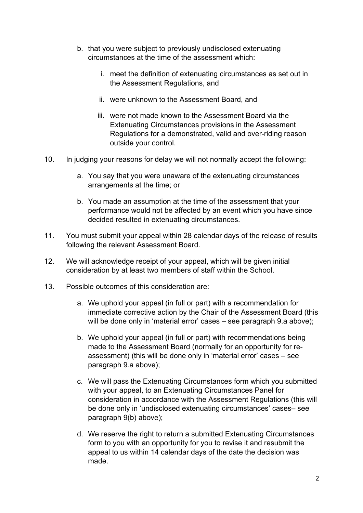- b. that you were subject to previously undisclosed extenuating circumstances at the time of the assessment which:
	- i. meet the definition of extenuating circumstances as set out in the Assessment Regulations, and
	- ii. were unknown to the Assessment Board, and
	- iii. were not made known to the Assessment Board via the Extenuating Circumstances provisions in the Assessment Regulations for a demonstrated, valid and over-riding reason outside your control.
- 10. In judging your reasons for delay we will not normally accept the following:
	- a. You say that you were unaware of the extenuating circumstances arrangements at the time; or
	- b. You made an assumption at the time of the assessment that your performance would not be affected by an event which you have since decided resulted in extenuating circumstances.
- 11. You must submit your appeal within 28 calendar days of the release of results following the relevant Assessment Board.
- 12. We will acknowledge receipt of your appeal, which will be given initial consideration by at least two members of staff within the School.
- 13. Possible outcomes of this consideration are:
	- a. We uphold your appeal (in full or part) with a recommendation for immediate corrective action by the Chair of the Assessment Board (this will be done only in 'material error' cases – see paragraph 9.a above);
	- b. We uphold your appeal (in full or part) with recommendations being made to the Assessment Board (normally for an opportunity for reassessment) (this will be done only in 'material error' cases – see paragraph 9.a above);
	- c. We will pass the Extenuating Circumstances form which you submitted with your appeal, to an Extenuating Circumstances Panel for consideration in accordance with the Assessment Regulations (this will be done only in 'undisclosed extenuating circumstances' cases– see paragraph 9(b) above);
	- d. We reserve the right to return a submitted Extenuating Circumstances form to you with an opportunity for you to revise it and resubmit the appeal to us within 14 calendar days of the date the decision was made.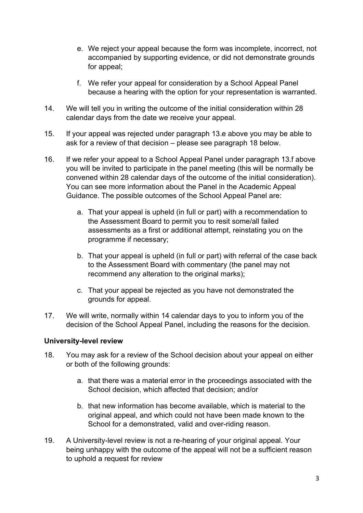- e. We reject your appeal because the form was incomplete, incorrect, not accompanied by supporting evidence, or did not demonstrate grounds for appeal;
- f. We refer your appeal for consideration by a School Appeal Panel because a hearing with the option for your representation is warranted.
- 14. We will tell you in writing the outcome of the initial consideration within 28 calendar days from the date we receive your appeal.
- 15. If your appeal was rejected under paragraph 13.e above you may be able to ask for a review of that decision – please see paragraph 18 below.
- 16. If we refer your appeal to a School Appeal Panel under paragraph 13.f above you will be invited to participate in the panel meeting (this will be normally be convened within 28 calendar days of the outcome of the initial consideration). You can see more information about the Panel in the Academic Appeal Guidance. The possible outcomes of the School Appeal Panel are:
	- a. That your appeal is upheld (in full or part) with a recommendation to the Assessment Board to permit you to resit some/all failed assessments as a first or additional attempt, reinstating you on the programme if necessary;
	- b. That your appeal is upheld (in full or part) with referral of the case back to the Assessment Board with commentary (the panel may not recommend any alteration to the original marks);
	- c. That your appeal be rejected as you have not demonstrated the grounds for appeal.
- 17. We will write, normally within 14 calendar days to you to inform you of the decision of the School Appeal Panel, including the reasons for the decision.

## **University-level review**

- 18. You may ask for a review of the School decision about your appeal on either or both of the following grounds:
	- a. that there was a material error in the proceedings associated with the School decision, which affected that decision; and/or
	- b. that new information has become available, which is material to the original appeal, and which could not have been made known to the School for a demonstrated, valid and over-riding reason.
- 19. A University-level review is not a re-hearing of your original appeal. Your being unhappy with the outcome of the appeal will not be a sufficient reason to uphold a request for review